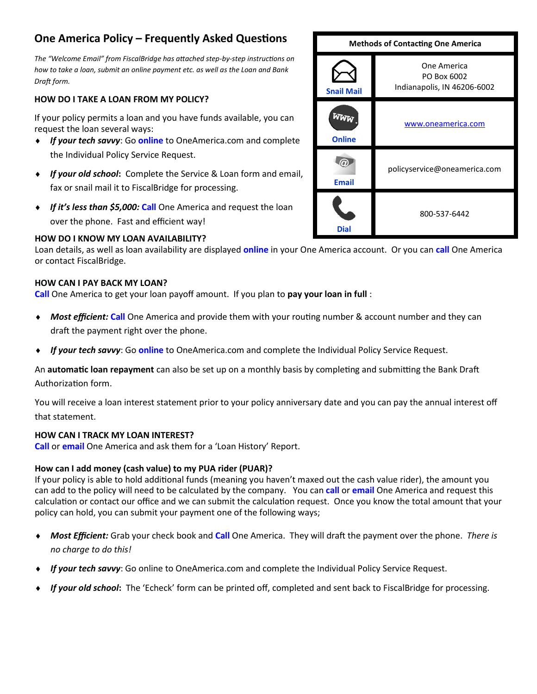# **One America Policy – Frequently Asked Questions**

*The "Welcome Email" from FiscalBridge has attached step-by-step instructions on how to take a loan, submit an online payment etc. as well as the Loan and Bank Draft form.* 

## **HOW DO I TAKE A LOAN FROM MY POLICY?**

If your policy permits a loan and you have funds available, you can request the loan several ways:

- *If your tech savvy*: Go **online** to OneAmerica.com and complete the Individual Policy Service Request.
- *If your old school***:** Complete the Service & Loan form and email, fax or snail mail it to FiscalBridge for processing.
- *If it's less than \$5,000:* **Call** One America and request the loan over the phone. Fast and efficient way!

## **HOW DO I KNOW MY LOAN AVAILABILITY?**

Loan details, as well as loan availability are displayed **online** in your One America account. Or you can **call** One America or contact FiscalBridge.

### **HOW CAN I PAY BACK MY LOAN?**

**Call** One America to get your loan payoff amount. If you plan to **pay your loan in full** :

- *Most efficient:* **Call** One America and provide them with your routing number & account number and they can draft the payment right over the phone.
- *If your tech savvy*: Go **online** to OneAmerica.com and complete the Individual Policy Service Request.

An **automatic loan repayment** can also be set up on a monthly basis by completing and submitting the Bank Draft Authorization form.

You will receive a loan interest statement prior to your policy anniversary date and you can pay the annual interest off that statement.

## **HOW CAN I TRACK MY LOAN INTEREST?**

**Call** or **email** One America and ask them for a 'Loan History' Report.

## **How can I add money (cash value) to my PUA rider (PUAR)?**

If your policy is able to hold additional funds (meaning you haven't maxed out the cash value rider), the amount you can add to the policy will need to be calculated by the company. You can **call** or **email** One America and request this calculation or contact our office and we can submit the calculation request. Once you know the total amount that your policy can hold, you can submit your payment one of the following ways;

- *Most Efficient:* Grab your check book and **Call** One America. They will draft the payment over the phone. *There is no charge to do this!*
- *If your tech savvy*: Go online to OneAmerica.com and complete the Individual Policy Service Request.
- *If your old school***:** The 'Echeck' form can be printed off, completed and sent back to FiscalBridge for processing.